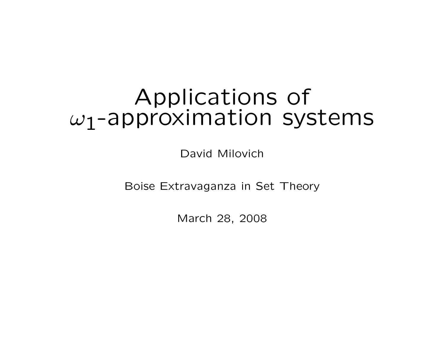# Applications of  $\omega_1$ -approximation systems

David Milovich

Boise Extravaganza in Set Theory

March 28, 2008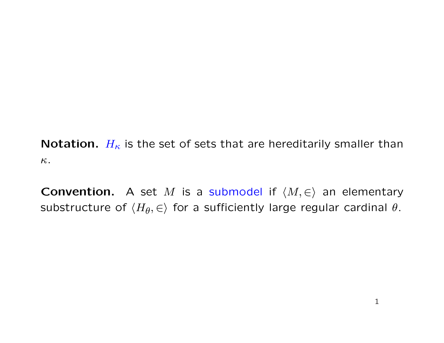**Notation.**  $H_{\kappa}$  is the set of sets that are hereditarily smaller than κ.

**Convention.** A set M is a submodel if  $\langle M, \in \rangle$  an elementary substructure of  $\langle H_\theta,\in\rangle$  for a sufficiently large regular cardinal  $\theta.$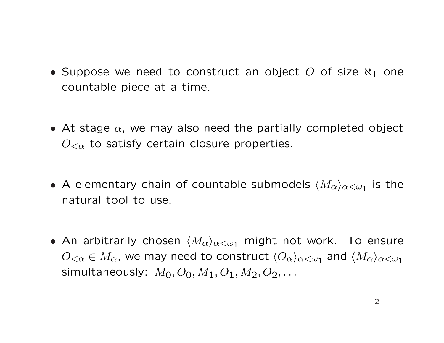- Suppose we need to construct an object O of size  $\aleph_1$  one countable piece at a time.
- At stage  $\alpha$ , we may also need the partially completed object  $O_{\leq \alpha}$  to satisfy certain closure properties.
- A elementary chain of countable submodels  $\langle M_\alpha\rangle_{\alpha<\omega_1}$  is the natural tool to use.
- An arbitrarily chosen  $\langle M_{\alpha}\rangle_{\alpha<\omega_1}$  might not work. To ensure  $O_{<\alpha}\in M_\alpha$ , we may need to construct  $\langle O_\alpha\rangle_{\alpha<\omega_1}$  and  $\langle M_\alpha\rangle_{\alpha<\omega_1}$ simultaneously:  $M_0, O_0, M_1, O_1, M_2, O_2, ...$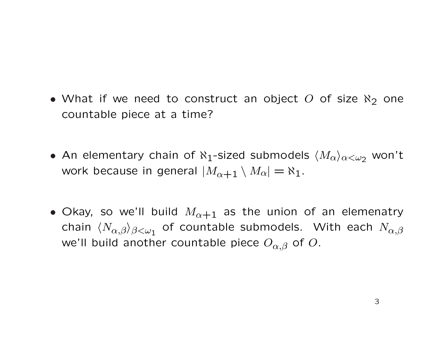- What if we need to construct an object O of size  $\aleph_2$  one countable piece at a time?
- An elementary chain of  $\aleph_1$ -sized submodels  $\langle M_{\alpha}\rangle_{\alpha<\omega_2}$  won't work because in general  $|M_{\alpha+1} \setminus M_{\alpha}| = \aleph_1$ .
- Okay, so we'll build  $M_{\alpha+1}$  as the union of an elemenatry chain  $\langle N_{\alpha,\beta}\rangle_{\beta<\omega_1}$  of countable submodels. With each  $N_{\alpha,\beta}$ we'll build another countable piece  $O_{\alpha,\beta}$  of  $O$ .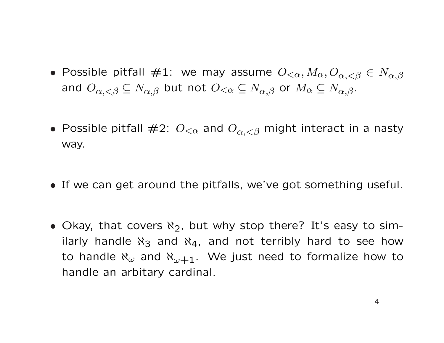- Possible pitfall  $\#1$ : we may assume  $O_{\leq \alpha}, M_\alpha, O_{\alpha, < \beta} \in N_{\alpha, \beta}$ and  $O_{\alpha,<\beta} \subseteq N_{\alpha,\beta}$  but not  $O_{<\alpha} \subseteq N_{\alpha,\beta}$  or  $M_{\alpha} \subseteq N_{\alpha,\beta}$ .
- Possible pitfall  $\#2$ :  $O_{\leq \alpha}$  and  $O_{\alpha, \leq \beta}$  might interact in a nasty way.
- If we can get around the pitfalls, we've got something useful.
- Okay, that covers  $\aleph_2$ , but why stop there? It's easy to similarly handle  $\aleph_3$  and  $\aleph_4$ , and not terribly hard to see how to handle  $\aleph_{\omega}$  and  $\aleph_{\omega+1}$ . We just need to formalize how to handle an arbitary cardinal.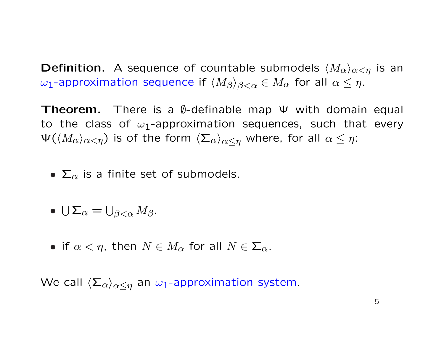**Definition.** A sequence of countable submodels  $\langle M_{\alpha}\rangle_{\alpha<\eta}$  is an ω<sub>1</sub>-approximation sequence if  $\langle M_\beta \rangle_{\beta < \alpha} \in M_\alpha$  for all  $\alpha \leq \eta$ .

Theorem. There is a  $\emptyset$ -definable map  $\Psi$  with domain equal to the class of  $\omega_1$ -approximation sequences, such that every  $\Psi(\langle M_\alpha\rangle_{\alpha<\eta})$  is of the form  $\langle \Sigma_\alpha\rangle_{\alpha<\eta}$  where, for all  $\alpha\leq\eta$ :

•  $\Sigma_{\alpha}$  is a finite set of submodels.

• 
$$
\bigcup \Sigma_{\alpha} = \bigcup_{\beta < \alpha} M_{\beta}.
$$

• if  $\alpha < \eta$ , then  $N \in M_{\alpha}$  for all  $N \in \Sigma_{\alpha}$ .

We call  $\langle \Sigma_{\alpha} \rangle_{\alpha \leq \eta}$  an  $\omega_1$ -approximation system.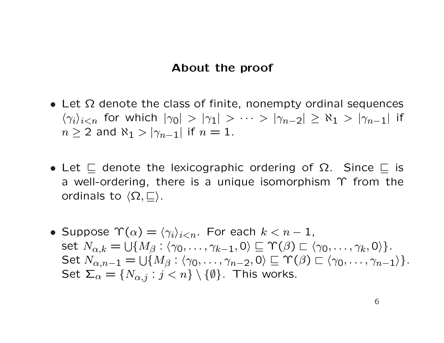#### About the proof

- Let  $\Omega$  denote the class of finite, nonempty ordinal sequences  $\langle \gamma_i \rangle_{i < n}$  for which  $|\gamma_0| > |\gamma_1| > \cdots > |\gamma_{n-2}| \geq \aleph_1 > |\gamma_{n-1}|$  if  $n \geq 2$  and  $\aleph_1 > |\gamma_{n-1}|$  if  $n = 1$ .
- Let  $\sqsubset$  denote the lexicographic ordering of  $\Omega$ . Since  $\sqsubset$  is a well-ordering, there is a unique isomorphism Υ from the ordinals to  $\langle\Omega,\sqsubseteq\rangle$ .
- Suppose  $\Upsilon(\alpha) = \langle \gamma_i \rangle_{i \leq n}$ . For each  $k < n 1$ , set  $N_{\alpha,k} =$  $\frac{1}{2}$  $\{M_\beta : \langle \gamma_0, \ldots, \gamma_{k-1}, 0 \rangle \sqsubseteq \Upsilon(\beta) \sqsubset \langle \gamma_0, \ldots, \gamma_k, 0 \rangle \}.$ Set  $N_{\alpha,n-1} = \bigcup \{M_\beta : \langle \gamma_0, \ldots, \gamma_{n-2}, 0 \rangle \sqsubseteq \Upsilon(\beta) \sqsubset \langle \gamma_0, \ldots, \gamma_{n-1} \rangle \}.$  $\begin{bmatrix} 1 & 1 \\ 1 & 1 \end{bmatrix}$ Set  $\Sigma_{\alpha} = \{N_{\alpha,j} : j < n\} \setminus \{\emptyset\}$ . This works.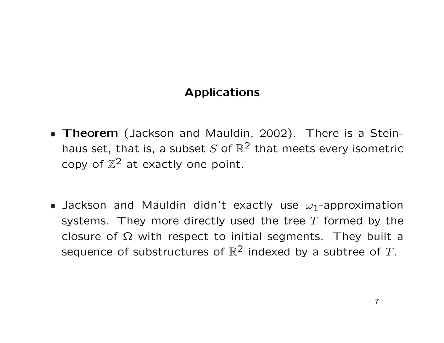# Applications

- Theorem (Jackson and Mauldin, 2002). There is a Steinhaus set, that is, a subset S of  $\mathbb{R}^2$  that meets every isometric copy of  $\mathbb{Z}^2$  at exactly one point.
- Jackson and Mauldin didn't exactly use  $\omega_1$ -approximation systems. They more directly used the tree  $T$  formed by the closure of  $\Omega$  with respect to initial segments. They built a sequence of substructures of  $\mathbb{R}^2$  indexed by a subtree of T.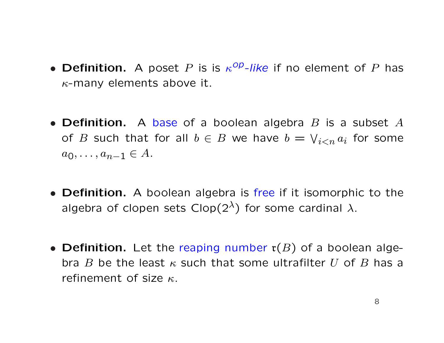- Definition. A poset P is is  $\kappa^{op}$ -like if no element of P has  $\kappa$ -many elements above it.
- Definition. A base of a boolean algebra  $B$  is a subset  $A$ of B such that for all  $b \in B$  we have  $b =$  $\overline{\phantom{a}}$  $_{i< n}$   $a_i$  for some  $a_0, \ldots, a_{n-1} \in A$ .
- **Definition.** A boolean algebra is free if it isomorphic to the algebra of clopen sets Clop( $2^{\lambda}$ ) for some cardinal  $\lambda$ .
- Definition. Let the reaping number  $r(B)$  of a boolean algebra B be the least  $\kappa$  such that some ultrafilter U of B has a refinement of size  $\kappa$ .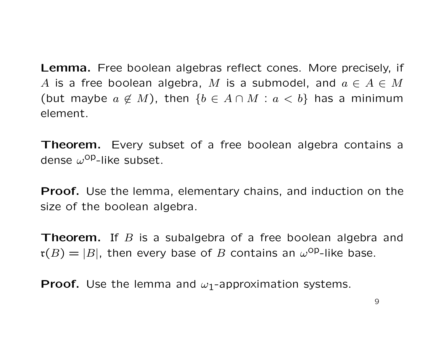Lemma. Free boolean algebras reflect cones. More precisely, if A is a free boolean algebra, M is a submodel, and  $a \in A \in M$ (but maybe  $a \notin M$ ), then  $\{b \in A \cap M : a < b\}$  has a minimum element.

**Theorem.** Every subset of a free boolean algebra contains a dense  $\omega^{\text{op}}$ -like subset.

**Proof.** Use the lemma, elementary chains, and induction on the size of the boolean algebra.

**Theorem.** If B is a subalgebra of a free boolean algebra and  $\mathfrak{r}(B)=|B|$ , then every base of B contains an  $\omega^\text{op}-$ like base.

**Proof.** Use the lemma and  $\omega_1$ -approximation systems.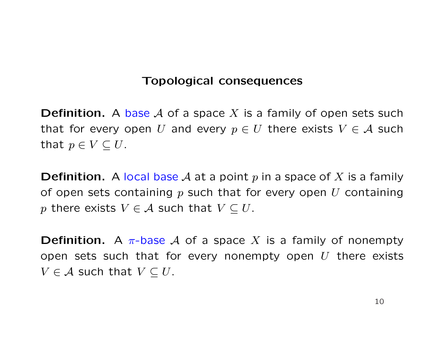### Topological consequences

**Definition.** A base A of a space X is a family of open sets such that for every open U and every  $p \in U$  there exists  $V \in \mathcal{A}$  such that  $p \in V \subseteq U$ .

**Definition.** A local base A at a point p in a space of X is a family of open sets containing  $p$  such that for every open  $U$  containing p there exists  $V \in \mathcal{A}$  such that  $V \subseteq U$ .

**Definition.** A  $\pi$ -base A of a space X is a family of nonempty open sets such that for every nonempty open  $U$  there exists  $V \in \mathcal{A}$  such that  $V \subseteq U$ .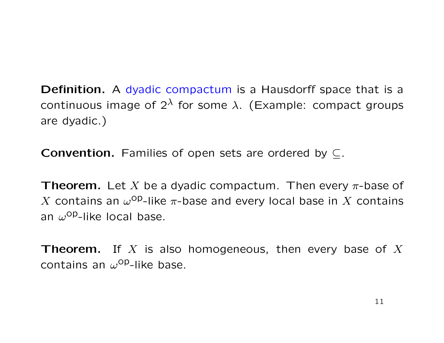Definition. A dyadic compactum is a Hausdorff space that is a continuous image of  $2^{\lambda}$  for some  $\lambda$ . (Example: compact groups are dyadic.)

**Convention.** Families of open sets are ordered by  $\subseteq$ .

**Theorem.** Let X be a dyadic compactum. Then every  $\pi$ -base of X contains an  $\omega^{\textsf{op}}$ -like  $\pi$ -base and every local base in X contains an  $\omega^{\text{op}}$ -like local base.

**Theorem.** If X is also homogeneous, then every base of X contains an  $\omega^{\text{op}}$ -like base.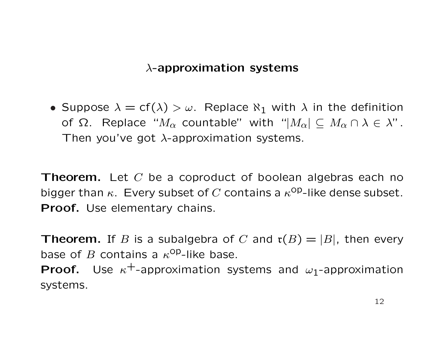## $\lambda$ -approximation systems

• Suppose  $\lambda = cf(\lambda) > \omega$ . Replace  $\aleph_1$  with  $\lambda$  in the definition of Ω. Replace " $M_{\alpha}$  countable" with "| $M_{\alpha}$ | ⊆  $M_{\alpha} \cap \lambda \in \lambda$ ". Then you've got  $\lambda$ -approximation systems.

**Theorem.** Let  $C$  be a coproduct of boolean algebras each no bigger than  $\kappa$ . Every subset of C contains a  $\kappa^{\text{OP}}$ -like dense subset. Proof. Use elementary chains.

**Theorem.** If B is a subalgebra of C and  $\mathfrak{r}(B) = |B|$ , then every base of B contains a  $\kappa^{OP}$ -like base. **Proof.** Use  $\kappa^+$ -approximation systems and  $\omega_1$ -approximation systems.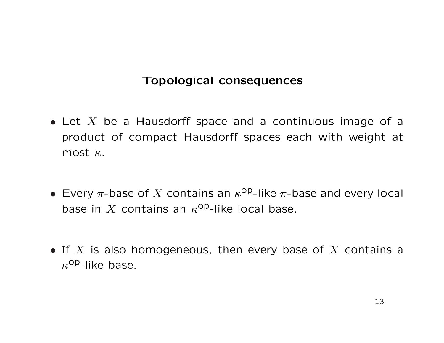# Topological consequences

- Let  $X$  be a Hausdorff space and a continuous image of a product of compact Hausdorff spaces each with weight at most  $\kappa$ .
- Every  $\pi$ -base of X contains an  $\kappa^{op}$ -like  $\pi$ -base and every local base in X contains an  $\kappa^{op}$ -like local base.
- If  $X$  is also homogeneous, then every base of  $X$  contains a  $\kappa^{\text{op}}$ -like base.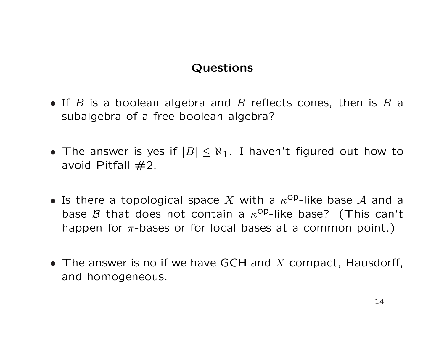# Questions

- If  $B$  is a boolean algebra and  $B$  reflects cones, then is  $B$  a subalgebra of a free boolean algebra?
- The answer is yes if  $|B| \leq \aleph_1$ . I haven't figured out how to avoid Pitfall  $#2$ .
- Is there a topological space X with a  $\kappa^{op}$ -like base A and a base  $\beta$  that does not contain a  $\kappa^{OP}$ -like base? (This can't happen for  $\pi$ -bases or for local bases at a common point.)
- The answer is no if we have GCH and X compact, Hausdorff, and homogeneous.